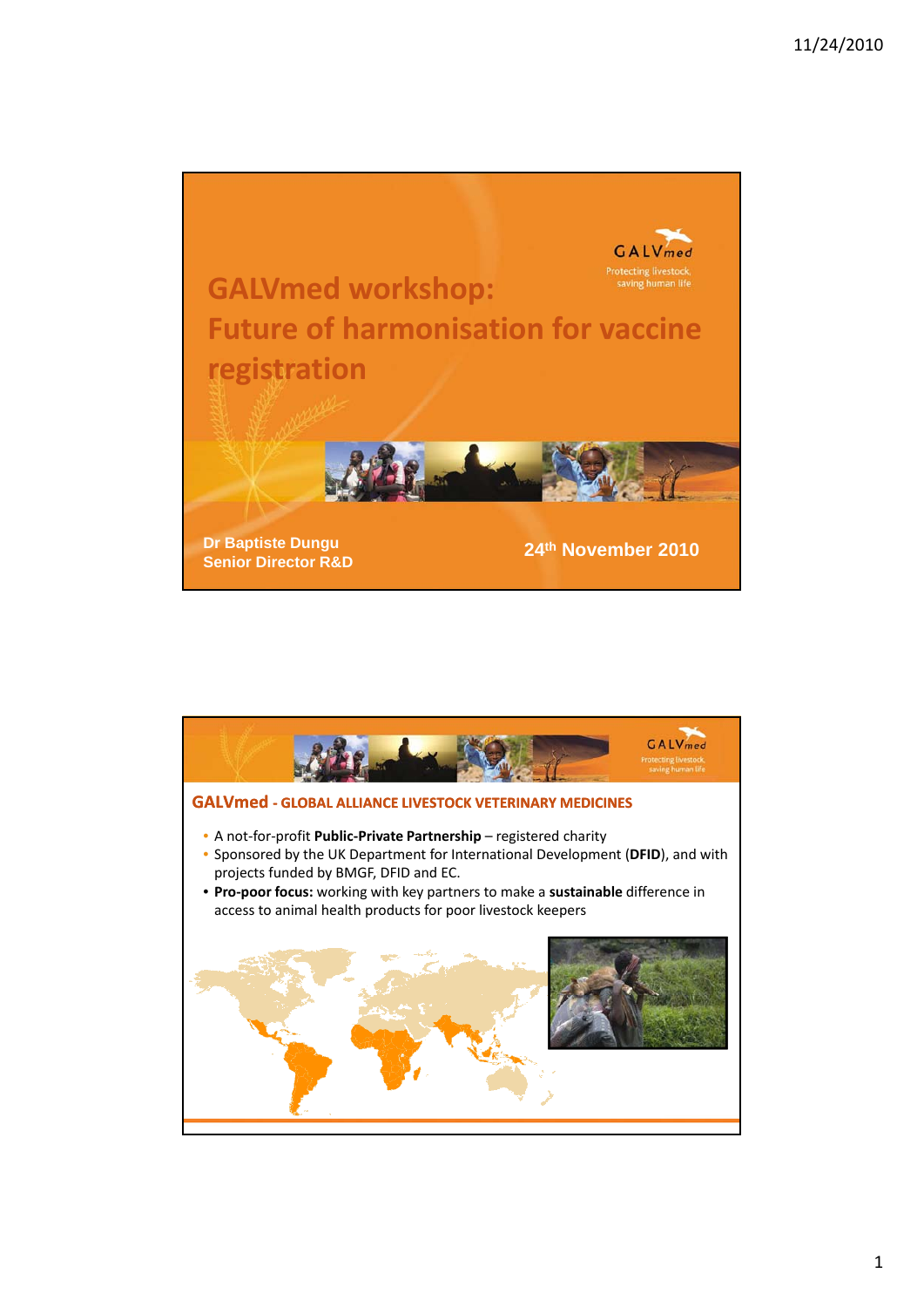

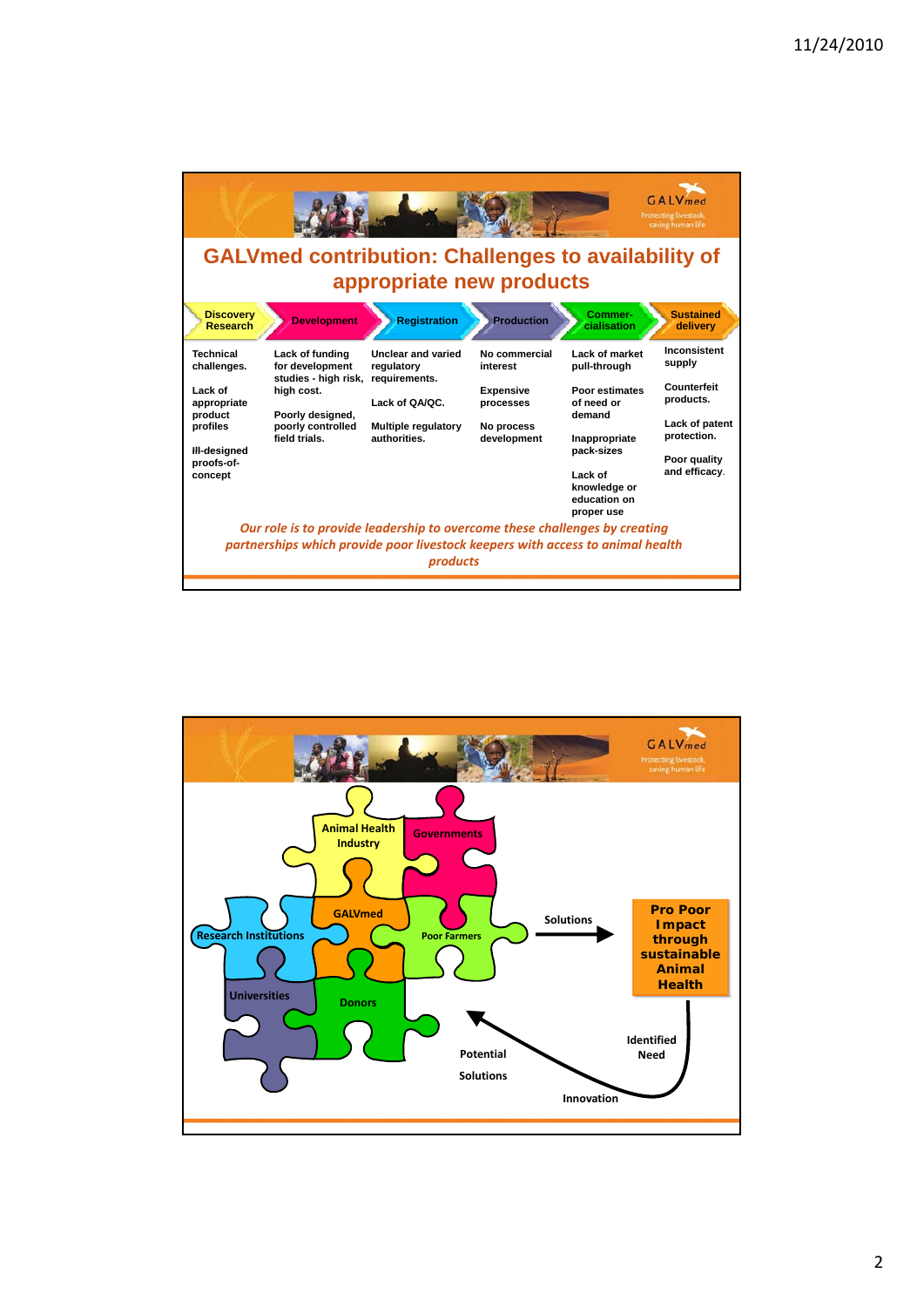

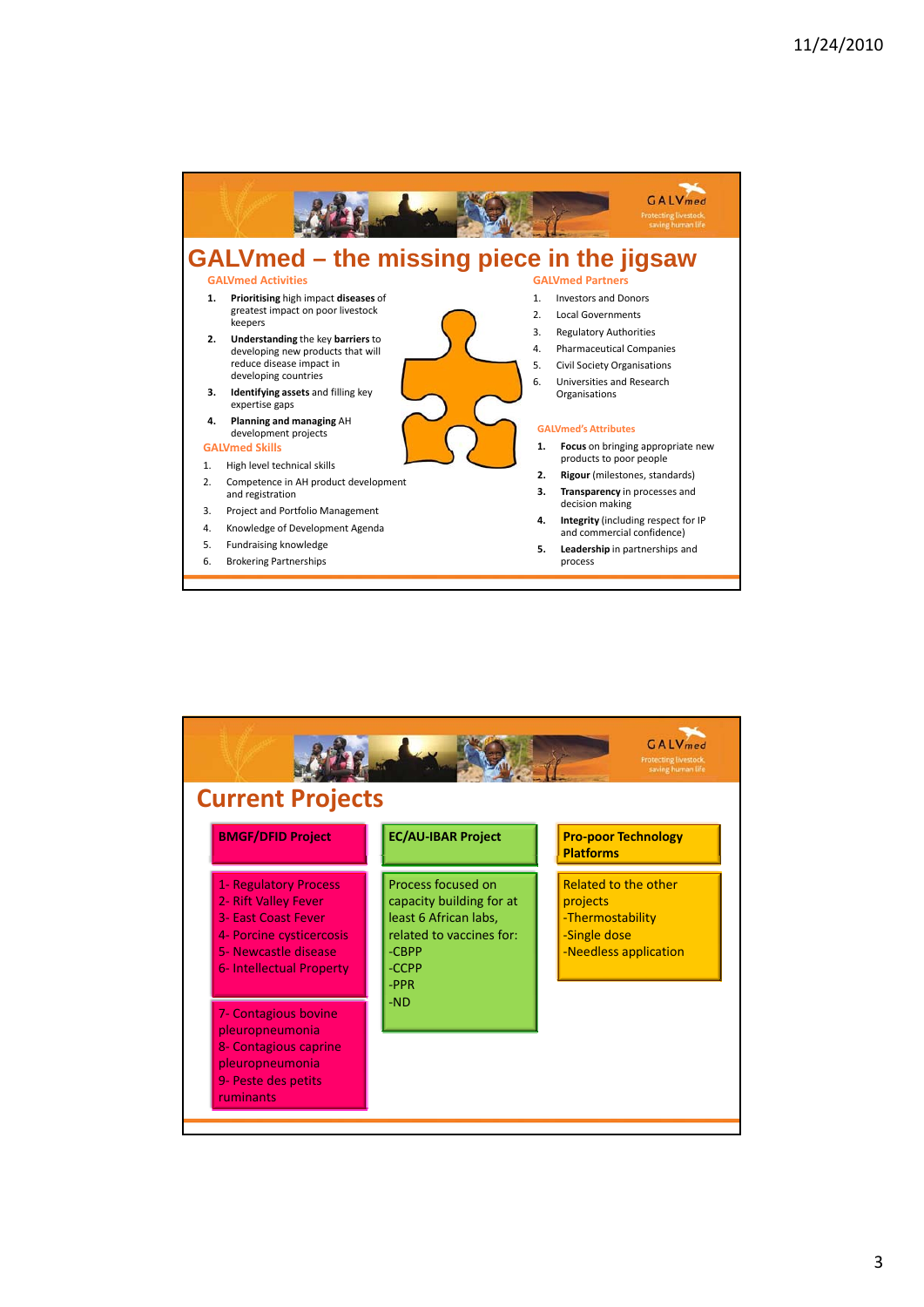

| <b>BMGF/DFID Project</b>                         | <b>EC/AU-IBAR Project</b>         | <b>Pro-poor Technology</b><br><b>Platforms</b> |  |
|--------------------------------------------------|-----------------------------------|------------------------------------------------|--|
| <b>1- Regulatory Process</b>                     | Process focused on                | <b>Related to the other</b>                    |  |
| 2- Rift Valley Fever                             | capacity building for at          | projects                                       |  |
| <b>3- East Coast Fever</b>                       | least 6 African labs,             | -Thermostability                               |  |
| 4- Porcine cysticercosis<br>5- Newcastle disease | related to vaccines for:<br>-CBPP | -Single dose<br>-Needless application          |  |
| 6- Intellectual Property                         | -CCPP                             |                                                |  |
|                                                  | $-PPR$                            |                                                |  |
|                                                  | $-ND$                             |                                                |  |
| 7- Contagious bovine                             |                                   |                                                |  |
| pleuropneumonia                                  |                                   |                                                |  |
| 8- Contagious caprine                            |                                   |                                                |  |
| pleuropneumonia                                  |                                   |                                                |  |
| 9- Peste des petits                              |                                   |                                                |  |
|                                                  |                                   |                                                |  |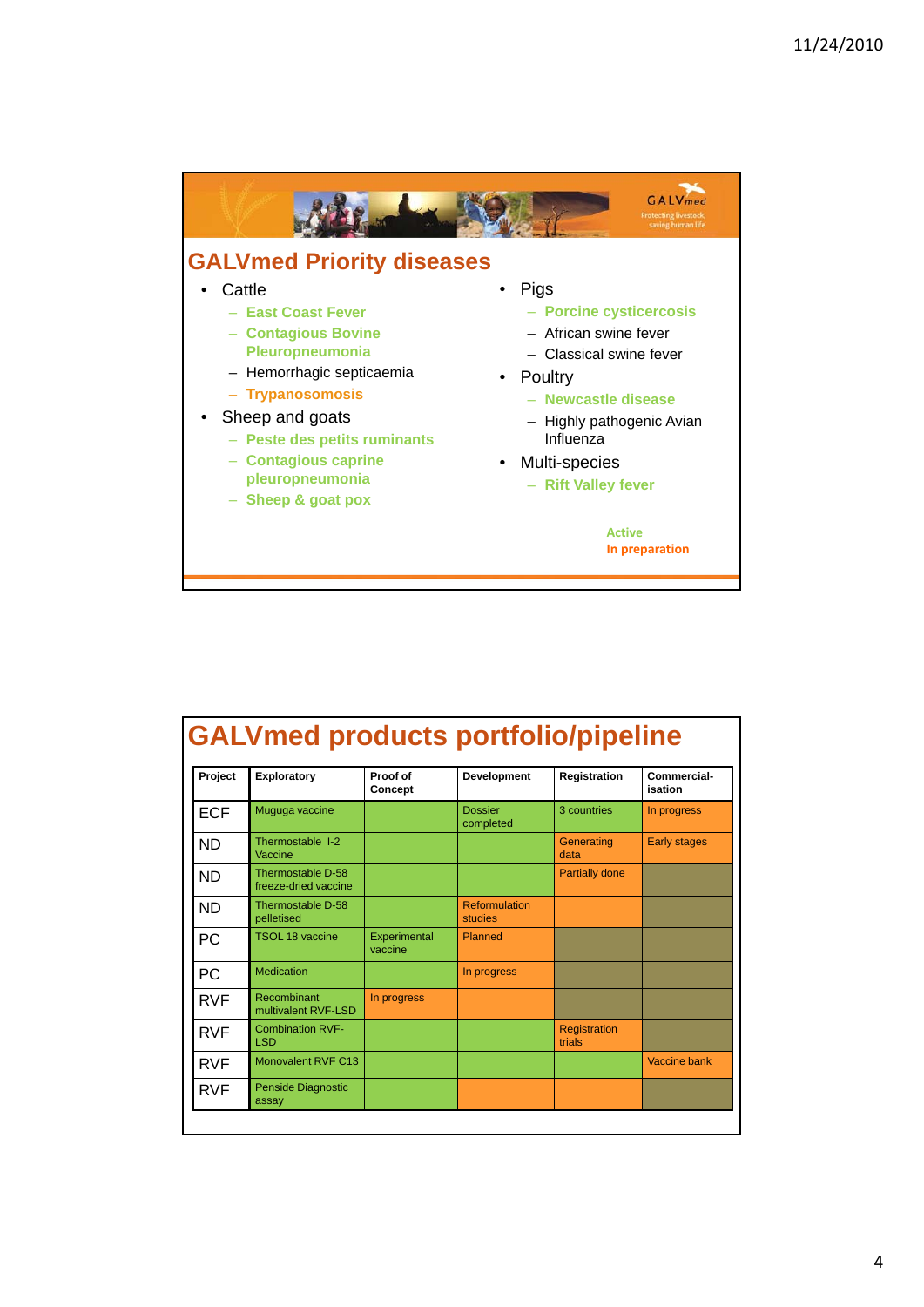

| Project    | Exploratory                               | Proof of<br>Concept     | Development                     | Registration                  | Commercial-<br>isation |
|------------|-------------------------------------------|-------------------------|---------------------------------|-------------------------------|------------------------|
| <b>ECF</b> | Muguga vaccine                            |                         | <b>Dossier</b><br>completed     | 3 countries                   | In progress            |
| ND         | Thermostable I-2<br>Vaccine               |                         |                                 | Generating<br>data            | <b>Early stages</b>    |
| <b>ND</b>  | Thermostable D-58<br>freeze-dried vaccine |                         |                                 | <b>Partially done</b>         |                        |
| <b>ND</b>  | Thermostable D-58<br>pelletised           |                         | <b>Reformulation</b><br>studies |                               |                        |
| РC         | <b>TSOL 18 vaccine</b>                    | Experimental<br>vaccine | Planned                         |                               |                        |
| РC         | <b>Medication</b>                         |                         | In progress                     |                               |                        |
| RVF        | Recombinant<br>multivalent RVF-LSD        | In progress             |                                 |                               |                        |
| <b>RVF</b> | <b>Combination RVF-</b><br><b>LSD</b>     |                         |                                 | <b>Registration</b><br>trials |                        |
| <b>RVF</b> | Monovalent RVF C13                        |                         |                                 |                               | Vaccine bank           |
| <b>RVF</b> | <b>Penside Diagnostic</b><br>assay        |                         |                                 |                               |                        |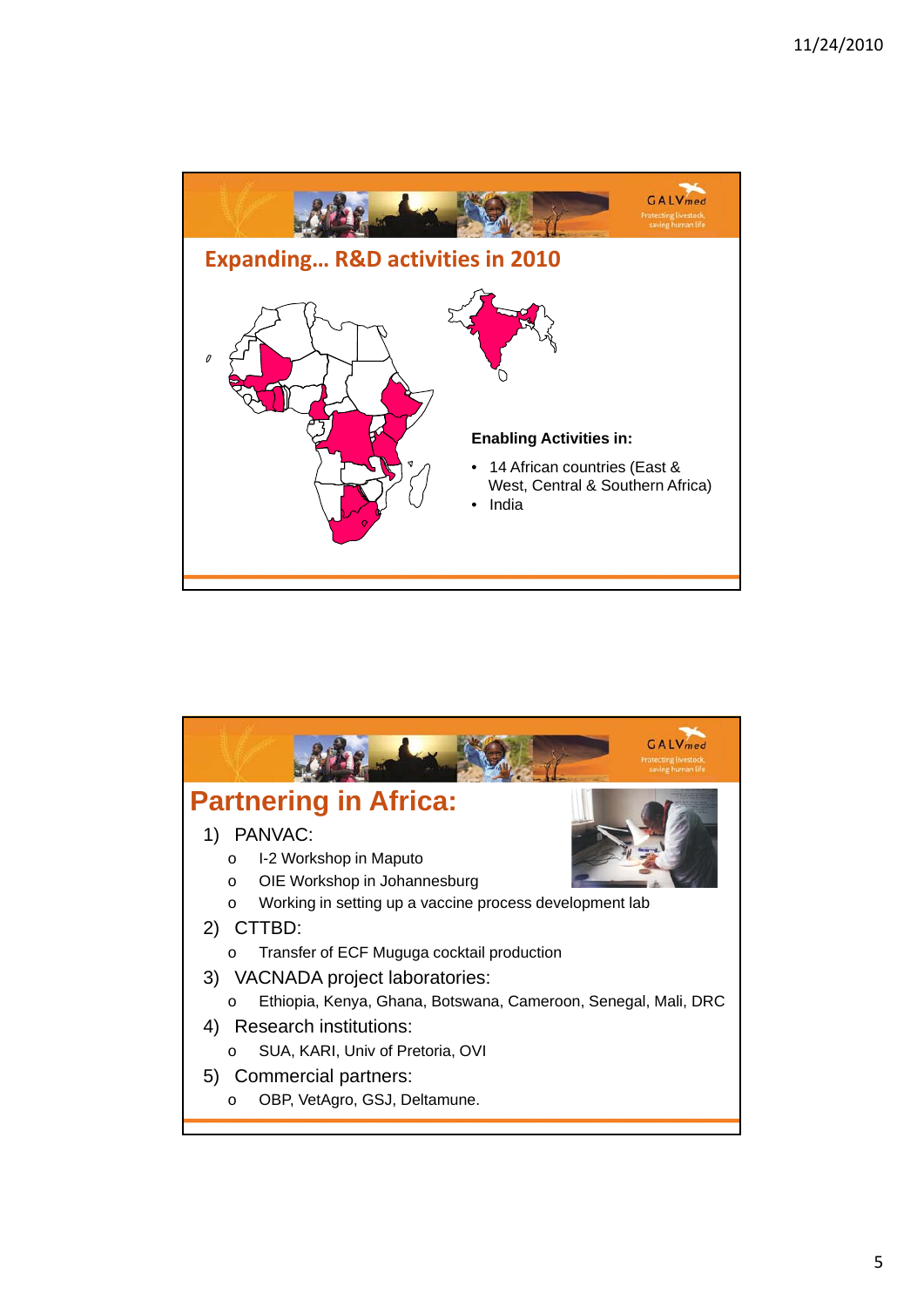

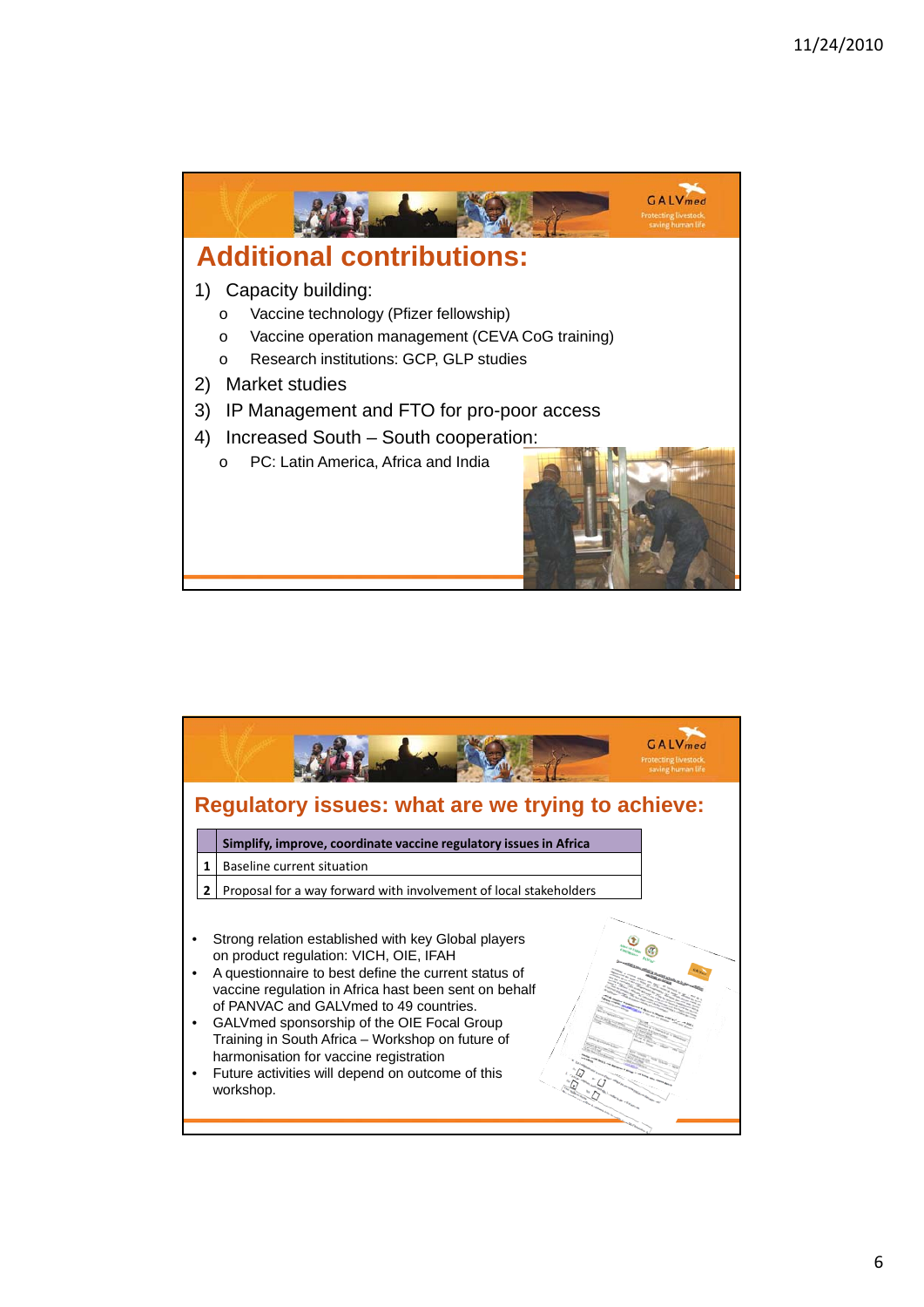

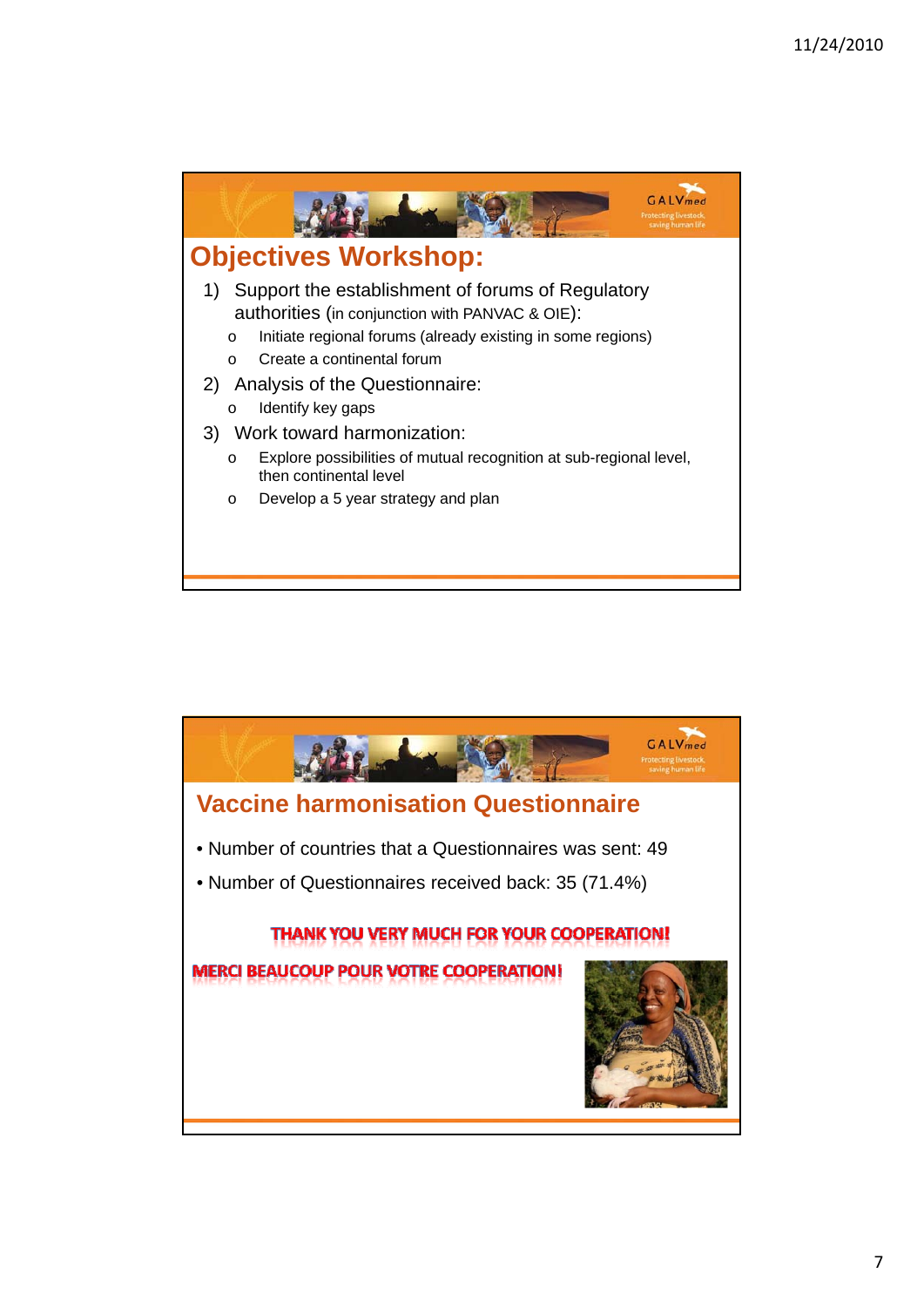